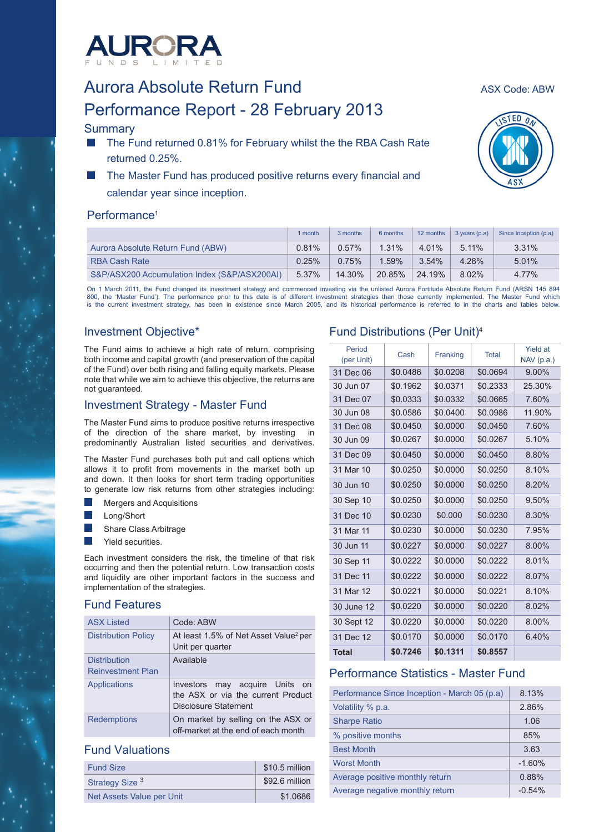

# Aurora Absolute Return Fund<br>Aurora Absolute Return Fund Performance Report - 28 February 2013

# **Summary**

- The Fund returned 0.81% for February whilst the the RBA Cash Rate returned 0.25%.
- The Master Fund has produced positive returns every financial and calendar year since inception.

# Performance<sup>1</sup>

|                                              | 1 month | 3 months | 6 months | 12 months | $3$ years $(p.a)$ | Since Inception (p.a) |
|----------------------------------------------|---------|----------|----------|-----------|-------------------|-----------------------|
| Aurora Absolute Return Fund (ABW)            | 0.81%   | 0.57%    | $1.31\%$ | $4.01\%$  | 5.11%             | 3.31%                 |
| <b>RBA Cash Rate</b>                         | 0.25%   | 0.75%    | $1.59\%$ | 3.54%     | 4.28%             | 5.01%                 |
| S&P/ASX200 Accumulation Index (S&P/ASX200AI) | 5.37%   | 14.30%   | 20.85%   | 24.19%    | 8.02%             | 4.77%                 |

On 1 March 2011, the Fund changed its investment strategy and commenced investing via the unlisted Aurora Fortitude Absolute Return Fund (ARSN 145 894<br>800, the 'Master Fund'). The performance prior to this date is of diffe is the current investment strategy, has been in existence since March 2005, and its historical performance is referred to in the charts and tables below.

# Investment Objective\*

The Fund aims to achieve a high rate of return, comprising both income and capital growth (and preservation of the capital of the Fund) over both rising and falling equity markets. Please note that while we aim to achieve this objective, the returns are not guaranteed.

# Investment Strategy - Master Fund

The Master Fund aims to produce positive returns irrespective of the direction of the share market, by investing in predominantly Australian listed securities and derivatives.

The Master Fund purchases both put and call options which allows it to profit from movements in the market both up and down. It then looks for short term trading opportunities to generate low risk returns from other strategies including:

- Mergers and Acquisitions
- Long/Short
- Share Class Arbitrage
- Yield securities.

Each investment considers the risk, the timeline of that risk occurring and then the potential return. Low transaction costs and liquidity are other important factors in the success and implementation of the strategies.

# Fund Features

| <b>ASX Listed</b>                               | Code: ABW                                                                                    |
|-------------------------------------------------|----------------------------------------------------------------------------------------------|
| <b>Distribution Policy</b>                      | At least 1.5% of Net Asset Value <sup>2</sup> per<br>Unit per quarter                        |
| <b>Distribution</b><br><b>Reinvestment Plan</b> | Available                                                                                    |
|                                                 |                                                                                              |
| <b>Applications</b>                             | Investors may acquire Units on<br>the ASX or via the current Product<br>Disclosure Statement |
| <b>Redemptions</b>                              | On market by selling on the ASX or<br>off-market at the end of each month                    |

## Fund Valuations

| <b>Fund Size</b>           | \$10.5 million |
|----------------------------|----------------|
| Strategy Size <sup>3</sup> | \$92.6 million |
| Net Assets Value per Unit  | \$1.0686       |

# Fund Distributions (Per Unit)4

| Period<br>(per Unit) | Cash     | Franking | <b>Total</b> | <b>Yield at</b><br>$NAV$ (p.a.) |
|----------------------|----------|----------|--------------|---------------------------------|
| 31 Dec 06            | \$0.0486 | \$0.0208 | \$0.0694     | 9.00%                           |
| 30 Jun 07            | \$0.1962 | \$0.0371 | \$0.2333     | 25.30%                          |
| 31 Dec 07            | \$0.0333 | \$0.0332 | \$0.0665     | 7.60%                           |
| 30 Jun 08            | \$0.0586 | \$0.0400 | \$0.0986     | 11.90%                          |
| 31 Dec 08            | \$0.0450 | \$0.0000 | \$0.0450     | 7.60%                           |
| 30 Jun 09            | \$0.0267 | \$0.0000 | \$0.0267     | 5.10%                           |
| 31 Dec 09            | \$0.0450 | \$0.0000 | \$0.0450     | 8.80%                           |
| 31 Mar 10            | \$0.0250 | \$0.0000 | \$0.0250     | 8.10%                           |
| 30 Jun 10            | \$0.0250 | \$0.0000 | \$0.0250     | 8.20%                           |
| 30 Sep 10            | \$0.0250 | \$0.0000 | \$0.0250     | 9.50%                           |
| 31 Dec 10            | \$0.0230 | \$0.000  | \$0.0230     | 8.30%                           |
| 31 Mar 11            | \$0.0230 | \$0.0000 | \$0.0230     | 7.95%                           |
| 30 Jun 11            | \$0.0227 | \$0.0000 | \$0.0227     | 8.00%                           |
| 30 Sep 11            | \$0.0222 | \$0.0000 | \$0.0222     | 8.01%                           |
| 31 Dec 11            | \$0.0222 | \$0.0000 | \$0.0222     | 8.07%                           |
| 31 Mar 12            | \$0.0221 | \$0.0000 | \$0.0221     | 8.10%                           |
| 30 June 12           | \$0.0220 | \$0.0000 | \$0.0220     | 8.02%                           |
| 30 Sept 12           | \$0.0220 | \$0.0000 | \$0.0220     | $8.00\%$                        |
| 31 Dec 12            | \$0.0170 | \$0.0000 | \$0.0170     | 6.40%                           |
| <b>Total</b>         | \$0.7246 | \$0.1311 | \$0.8557     |                                 |

# Performance Statistics - Master Fund

| Performance Since Inception - March 05 (p.a) | 8.13%    |
|----------------------------------------------|----------|
| Volatility % p.a.                            | 2.86%    |
| <b>Sharpe Ratio</b>                          | 1.06     |
| % positive months                            | 85%      |
| <b>Best Month</b>                            | 3.63     |
| <b>Worst Month</b>                           | $-1.60%$ |
| Average positive monthly return              | 0.88%    |
| Average negative monthly return              | $-0.54%$ |